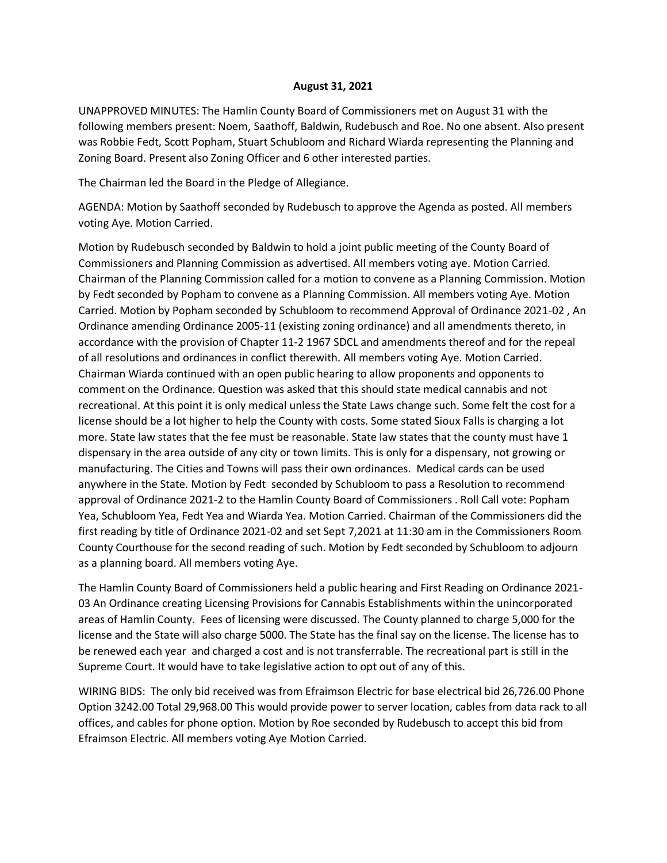## **August 31, 2021**

UNAPPROVED MINUTES: The Hamlin County Board of Commissioners met on August 31 with the following members present: Noem, Saathoff, Baldwin, Rudebusch and Roe. No one absent. Also present was Robbie Fedt, Scott Popham, Stuart Schubloom and Richard Wiarda representing the Planning and Zoning Board. Present also Zoning Officer and 6 other interested parties.

The Chairman led the Board in the Pledge of Allegiance.

AGENDA: Motion by Saathoff seconded by Rudebusch to approve the Agenda as posted. All members voting Aye. Motion Carried.

Motion by Rudebusch seconded by Baldwin to hold a joint public meeting of the County Board of Commissioners and Planning Commission as advertised. All members voting aye. Motion Carried. Chairman of the Planning Commission called for a motion to convene as a Planning Commission. Motion by Fedt seconded by Popham to convene as a Planning Commission. All members voting Aye. Motion Carried. Motion by Popham seconded by Schubloom to recommend Approval of Ordinance 2021-02 , An Ordinance amending Ordinance 2005-11 (existing zoning ordinance) and all amendments thereto, in accordance with the provision of Chapter 11-2 1967 SDCL and amendments thereof and for the repeal of all resolutions and ordinances in conflict therewith. All members voting Aye. Motion Carried. Chairman Wiarda continued with an open public hearing to allow proponents and opponents to comment on the Ordinance. Question was asked that this should state medical cannabis and not recreational. At this point it is only medical unless the State Laws change such. Some felt the cost for a license should be a lot higher to help the County with costs. Some stated Sioux Falls is charging a lot more. State law states that the fee must be reasonable. State law states that the county must have 1 dispensary in the area outside of any city or town limits. This is only for a dispensary, not growing or manufacturing. The Cities and Towns will pass their own ordinances. Medical cards can be used anywhere in the State. Motion by Fedt seconded by Schubloom to pass a Resolution to recommend approval of Ordinance 2021-2 to the Hamlin County Board of Commissioners . Roll Call vote: Popham Yea, Schubloom Yea, Fedt Yea and Wiarda Yea. Motion Carried. Chairman of the Commissioners did the first reading by title of Ordinance 2021-02 and set Sept 7,2021 at 11:30 am in the Commissioners Room County Courthouse for the second reading of such. Motion by Fedt seconded by Schubloom to adjourn as a planning board. All members voting Aye.

The Hamlin County Board of Commissioners held a public hearing and First Reading on Ordinance 2021- 03 An Ordinance creating Licensing Provisions for Cannabis Establishments within the unincorporated areas of Hamlin County. Fees of licensing were discussed. The County planned to charge 5,000 for the license and the State will also charge 5000. The State has the final say on the license. The license has to be renewed each year and charged a cost and is not transferrable. The recreational part is still in the Supreme Court. It would have to take legislative action to opt out of any of this.

WIRING BIDS: The only bid received was from Efraimson Electric for base electrical bid 26,726.00 Phone Option 3242.00 Total 29,968.00 This would provide power to server location, cables from data rack to all offices, and cables for phone option. Motion by Roe seconded by Rudebusch to accept this bid from Efraimson Electric. All members voting Aye Motion Carried.